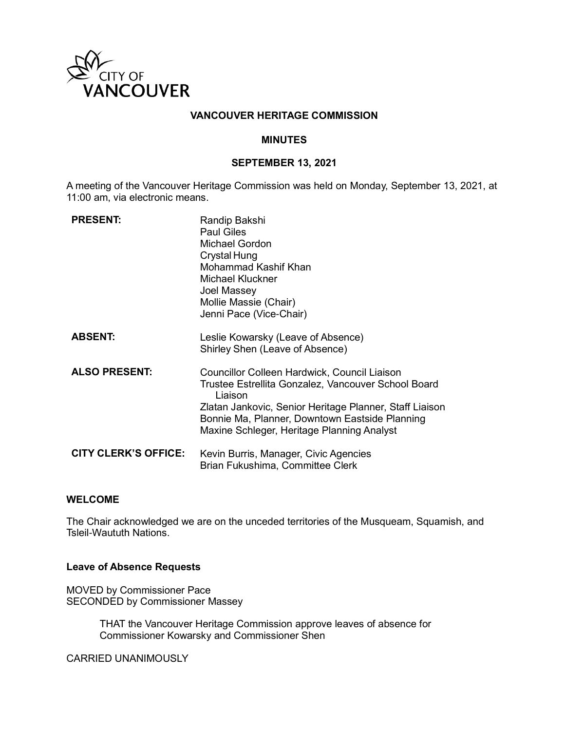

## **VANCOUVER HERITAGE COMMISSION**

#### **MINUTES**

## **SEPTEMBER 13, 2021**

A meeting of the Vancouver Heritage Commission was held on Monday, September 13, 2021, at 11:00 am, via electronic means.

| <b>PRESENT:</b>             | Randip Bakshi<br>Paul Giles<br><b>Michael Gordon</b><br>Crystal Hung<br>Mohammad Kashif Khan<br>Michael Kluckner<br>Joel Massey<br>Mollie Massie (Chair)<br>Jenni Pace (Vice-Chair)                                                                                       |
|-----------------------------|---------------------------------------------------------------------------------------------------------------------------------------------------------------------------------------------------------------------------------------------------------------------------|
| <b>ABSENT:</b>              | Leslie Kowarsky (Leave of Absence)<br>Shirley Shen (Leave of Absence)                                                                                                                                                                                                     |
| <b>ALSO PRESENT:</b>        | Councillor Colleen Hardwick, Council Liaison<br>Trustee Estrellita Gonzalez, Vancouver School Board<br>Liaison<br>Zlatan Jankovic, Senior Heritage Planner, Staff Liaison<br>Bonnie Ma, Planner, Downtown Eastside Planning<br>Maxine Schleger, Heritage Planning Analyst |
| <b>CITY CLERK'S OFFICE:</b> | Kevin Burris, Manager, Civic Agencies<br>Brian Fukushima, Committee Clerk                                                                                                                                                                                                 |

#### **WELCOME**

The Chair acknowledged we are on the unceded territories of the Musqueam, Squamish, and Tsleil-Waututh Nations.

#### **Leave of Absence Requests**

MOVED by Commissioner Pace SECONDED by Commissioner Massey

> THAT the Vancouver Heritage Commission approve leaves of absence for Commissioner Kowarsky and Commissioner Shen

CARRIED UNANIMOUSLY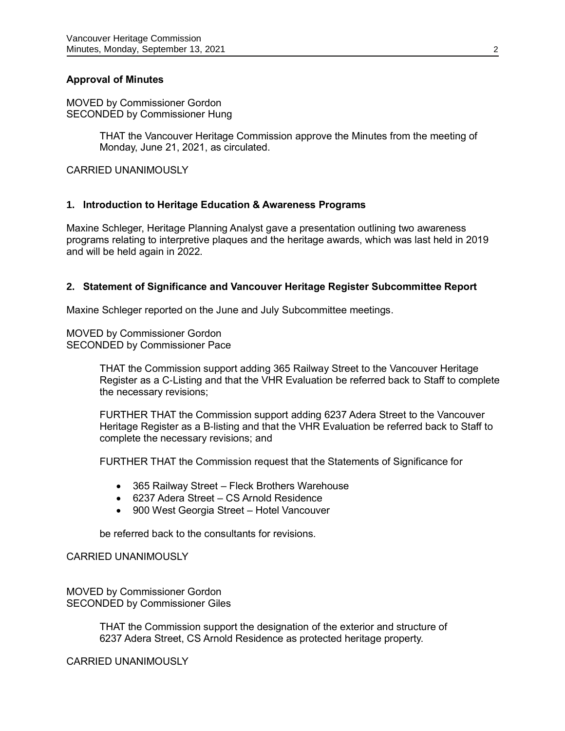# **Approval of Minutes**

MOVED by Commissioner Gordon SECONDED by Commissioner Hung

> THAT the Vancouver Heritage Commission approve the Minutes from the meeting of Monday, June 21, 2021, as circulated.

CARRIED UNANIMOUSLY

## **1. Introduction to Heritage Education & Awareness Programs**

Maxine Schleger, Heritage Planning Analyst gave a presentation outlining two awareness programs relating to interpretive plaques and the heritage awards, which was last held in 2019 and will be held again in 2022.

#### **2. Statement of Significance and Vancouver Heritage Register Subcommittee Report**

Maxine Schleger reported on the June and July Subcommittee meetings.

MOVED by Commissioner Gordon SECONDED by Commissioner Pace

> THAT the Commission support adding 365 Railway Street to the Vancouver Heritage Register as a C-Listing and that the VHR Evaluation be referred back to Staff to complete the necessary revisions;

FURTHER THAT the Commission support adding 6237 Adera Street to the Vancouver Heritage Register as a B-listing and that the VHR Evaluation be referred back to Staff to complete the necessary revisions; and

FURTHER THAT the Commission request that the Statements of Significance for

- 365 Railway Street Fleck Brothers Warehouse
- 6237 Adera Street CS Arnold Residence
- 900 West Georgia Street Hotel Vancouver

be referred back to the consultants for revisions.

CARRIED UNANIMOUSLY

MOVED by Commissioner Gordon SECONDED by Commissioner Giles

> THAT the Commission support the designation of the exterior and structure of 6237 Adera Street, CS Arnold Residence as protected heritage property.

CARRIED UNANIMOUSLY